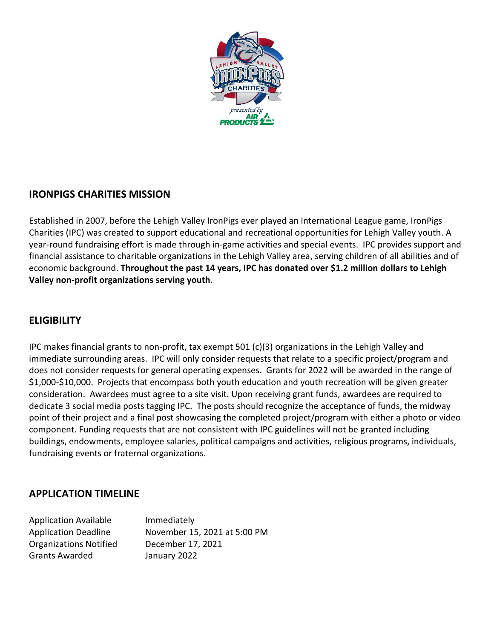

## **IRONPIGS CHARITIES MISSION**

Established in 2007, before the Lehigh Valley IronPigs ever played an International League game, IronPigs Charities (IPC) was created to support educational and recreational opportunities for Lehigh Valley youth. A year-round fundraising effort is made through in-game activities and special events. IPC provides support and financial assistance to charitable organizations in the Lehigh Valley area, serving children of all abilities and of economic background. **Throughout the past 14 years, IPC has donated over \$1.2 million dollars to Lehigh Valley non-profit organizations serving youth**.

## **ELIGIBILITY**

IPC makes financial grants to non-profit, tax exempt 501 (c)(3) organizations in the Lehigh Valley and immediate surrounding areas. IPC will only consider requests that relate to a specific project/program and does not consider requests for general operating expenses. Grants for 2022 will be awarded in the range of \$1,000-\$10,000. Projects that encompass both youth education and youth recreation will be given greater consideration. Awardees must agree to a site visit. Upon receiving grant funds, awardees are required to dedicate 3 social media posts tagging IPC. The posts should recognize the acceptance of funds, the midway point of their project and a final post showcasing the completed project/program with either a photo or video component. Funding requests that are not consistent with IPC guidelines will not be granted including buildings, endowments, employee salaries, political campaigns and activities, religious programs, individuals, fundraising events or fraternal organizations.

### **APPLICATION TIMELINE**

| <b>Application Available</b>  | Immediately                  |
|-------------------------------|------------------------------|
| <b>Application Deadline</b>   | November 15, 2021 at 5:00 PM |
| <b>Organizations Notified</b> | December 17, 2021            |
| <b>Grants Awarded</b>         | January 2022                 |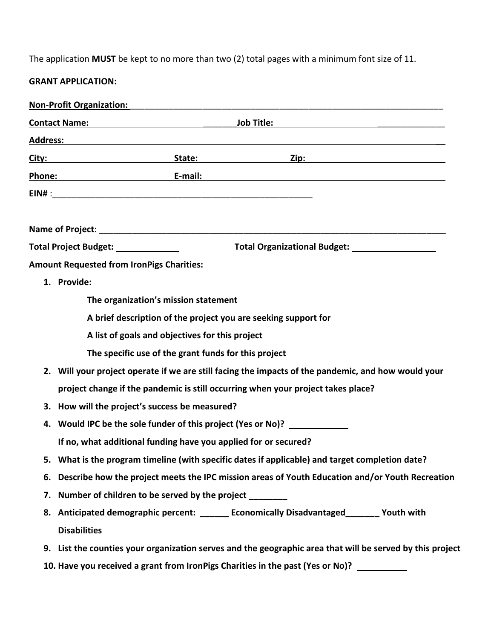The application **MUST** be kept to no more than two (2) total pages with a minimum font size of 11.

# **GRANT APPLICATION:**

| <b>Non-Profit Organization:</b>                                                                                                                                                                                                     |
|-------------------------------------------------------------------------------------------------------------------------------------------------------------------------------------------------------------------------------------|
| <b>Contact Name:</b> Annual Contact Name: Annual Contact Name: Annual Contact Name: Annual Contact Oriental Contact O                                                                                                               |
| Address: Andress: Address: Address: Address: Address: Address: Address: Address: Address: Address: Address: Address: Address: Address: Address: Address: Address: Address: Address: Address: Address: Address: Address: Addres      |
|                                                                                                                                                                                                                                     |
| <u>Phone:</u> E-mail: E-mail: E-mail: E-mail: E-mail: E-mail: E-mail: E-mail: E-mail: E-mail: E-mail: E-mail: E-mail: E-mail: E-mail: E-mail: E-mail: E-mail: E-mail: E-mail: E-mail: E-mail: E-mail: E-mail: E-mail: E-mail: E-mai |
|                                                                                                                                                                                                                                     |
|                                                                                                                                                                                                                                     |
|                                                                                                                                                                                                                                     |
|                                                                                                                                                                                                                                     |
|                                                                                                                                                                                                                                     |
| 1. Provide:                                                                                                                                                                                                                         |
| The organization's mission statement                                                                                                                                                                                                |
| A brief description of the project you are seeking support for                                                                                                                                                                      |
| A list of goals and objectives for this project                                                                                                                                                                                     |
| The specific use of the grant funds for this project                                                                                                                                                                                |
| 2. Will your project operate if we are still facing the impacts of the pandemic, and how would your                                                                                                                                 |
| project change if the pandemic is still occurring when your project takes place?                                                                                                                                                    |
| 3. How will the project's success be measured?                                                                                                                                                                                      |
| 4. Would IPC be the sole funder of this project (Yes or No)? ____________                                                                                                                                                           |
| If no, what additional funding have you applied for or secured?                                                                                                                                                                     |
| 5. What is the program timeline (with specific dates if applicable) and target completion date?                                                                                                                                     |
| 6. Describe how the project meets the IPC mission areas of Youth Education and/or Youth Recreation                                                                                                                                  |
| 7. Number of children to be served by the project                                                                                                                                                                                   |
| 8. Anticipated demographic percent: ______ Economically Disadvantaged_______ Youth with                                                                                                                                             |
| <b>Disabilities</b>                                                                                                                                                                                                                 |
| 9. List the counties your organization serves and the geographic area that will be served by this project                                                                                                                           |
| 10. Have you received a grant from IronPigs Charities in the past (Yes or No)? _________                                                                                                                                            |